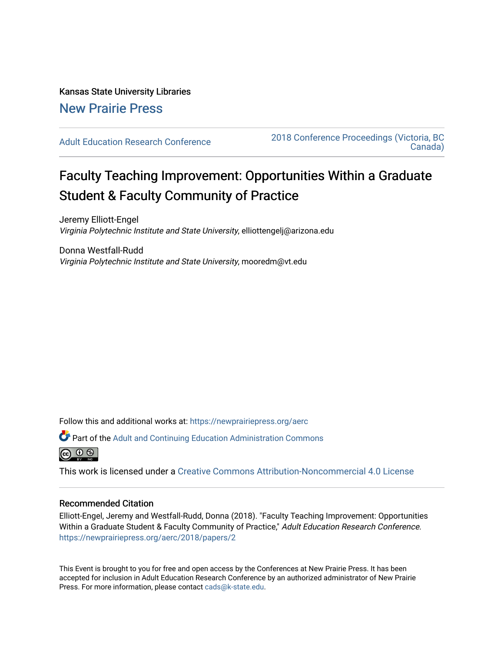# Kansas State University Libraries [New Prairie Press](https://newprairiepress.org/)

[Adult Education Research Conference](https://newprairiepress.org/aerc) [2018 Conference Proceedings \(Victoria, BC](https://newprairiepress.org/aerc/2018)  [Canada\)](https://newprairiepress.org/aerc/2018) 

# Faculty Teaching Improvement: Opportunities Within a Graduate Student & Faculty Community of Practice

Jeremy Elliott-Engel Virginia Polytechnic Institute and State University, elliottengelj@arizona.edu

Donna Westfall-Rudd Virginia Polytechnic Institute and State University, mooredm@vt.edu

Follow this and additional works at: [https://newprairiepress.org/aerc](https://newprairiepress.org/aerc?utm_source=newprairiepress.org%2Faerc%2F2018%2Fpapers%2F2&utm_medium=PDF&utm_campaign=PDFCoverPages)

Part of the [Adult and Continuing Education Administration Commons](http://network.bepress.com/hgg/discipline/789?utm_source=newprairiepress.org%2Faerc%2F2018%2Fpapers%2F2&utm_medium=PDF&utm_campaign=PDFCoverPages)



This work is licensed under a [Creative Commons Attribution-Noncommercial 4.0 License](https://creativecommons.org/licenses/by-nc/4.0/)

# Recommended Citation

Elliott-Engel, Jeremy and Westfall-Rudd, Donna (2018). "Faculty Teaching Improvement: Opportunities Within a Graduate Student & Faculty Community of Practice," Adult Education Research Conference. <https://newprairiepress.org/aerc/2018/papers/2>

This Event is brought to you for free and open access by the Conferences at New Prairie Press. It has been accepted for inclusion in Adult Education Research Conference by an authorized administrator of New Prairie Press. For more information, please contact [cads@k-state.edu.](mailto:cads@k-state.edu)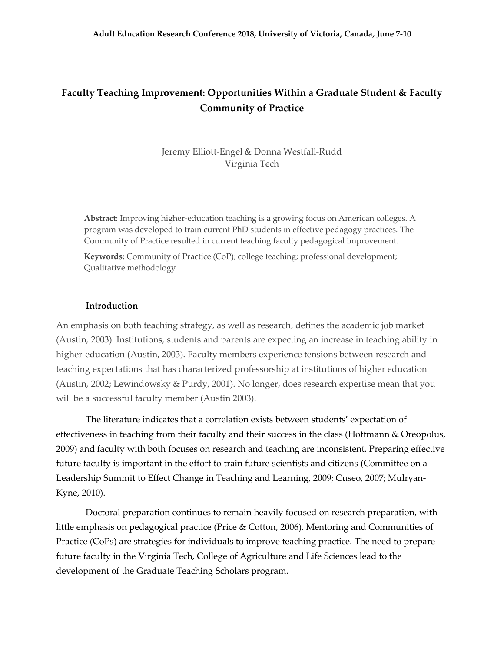# **Faculty Teaching Improvement: Opportunities Within a Graduate Student & Faculty Community of Practice**

Jeremy Elliott-Engel & Donna Westfall-Rudd Virginia Tech

**Abstract:** Improving higher-education teaching is a growing focus on American colleges. A program was developed to train current PhD students in effective pedagogy practices. The Community of Practice resulted in current teaching faculty pedagogical improvement.

**Keywords:** Community of Practice (CoP); college teaching; professional development; Qualitative methodology

#### **Introduction**

An emphasis on both teaching strategy, as well as research, defines the academic job market (Austin, 2003). Institutions, students and parents are expecting an increase in teaching ability in higher-education (Austin, 2003). Faculty members experience tensions between research and teaching expectations that has characterized professorship at institutions of higher education (Austin, 2002; Lewindowsky & Purdy, 2001). No longer, does research expertise mean that you will be a successful faculty member (Austin 2003).

The literature indicates that a correlation exists between students' expectation of effectiveness in teaching from their faculty and their success in the class (Hoffmann & Oreopolus, 2009) and faculty with both focuses on research and teaching are inconsistent. Preparing effective future faculty is important in the effort to train future scientists and citizens (Committee on a Leadership Summit to Effect Change in Teaching and Learning, 2009; Cuseo, 2007; Mulryan-Kyne, 2010).

Doctoral preparation continues to remain heavily focused on research preparation, with little emphasis on pedagogical practice (Price & Cotton, 2006). Mentoring and Communities of Practice (CoPs) are strategies for individuals to improve teaching practice. The need to prepare future faculty in the Virginia Tech, College of Agriculture and Life Sciences lead to the development of the Graduate Teaching Scholars program.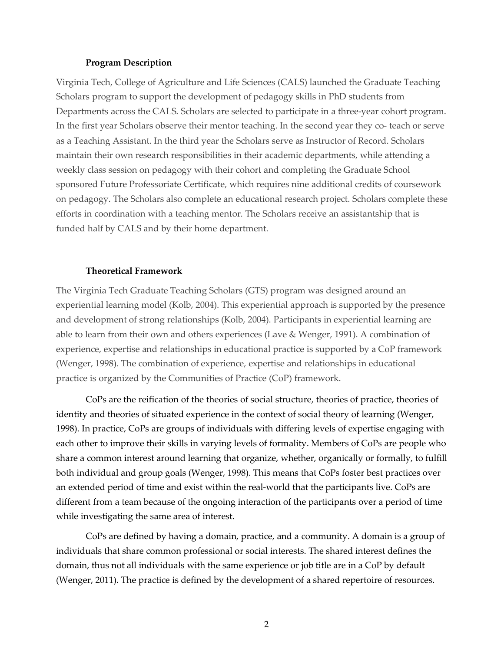#### **Program Description**

Virginia Tech, College of Agriculture and Life Sciences (CALS) launched the Graduate Teaching Scholars program to support the development of pedagogy skills in PhD students from Departments across the CALS. Scholars are selected to participate in a three-year cohort program. In the first year Scholars observe their mentor teaching. In the second year they co- teach or serve as a Teaching Assistant. In the third year the Scholars serve as Instructor of Record. Scholars maintain their own research responsibilities in their academic departments, while attending a weekly class session on pedagogy with their cohort and completing the Graduate School sponsored Future Professoriate Certificate, which requires nine additional credits of coursework on pedagogy. The Scholars also complete an educational research project. Scholars complete these efforts in coordination with a teaching mentor. The Scholars receive an assistantship that is funded half by CALS and by their home department.

# **Theoretical Framework**

The Virginia Tech Graduate Teaching Scholars (GTS) program was designed around an experiential learning model (Kolb, 2004). This experiential approach is supported by the presence and development of strong relationships (Kolb, 2004). Participants in experiential learning are able to learn from their own and others experiences (Lave & Wenger, 1991). A combination of experience, expertise and relationships in educational practice is supported by a CoP framework (Wenger, 1998). The combination of experience, expertise and relationships in educational practice is organized by the Communities of Practice (CoP) framework.

CoPs are the reification of the theories of social structure, theories of practice, theories of identity and theories of situated experience in the context of social theory of learning (Wenger, 1998). In practice, CoPs are groups of individuals with differing levels of expertise engaging with each other to improve their skills in varying levels of formality. Members of CoPs are people who share a common interest around learning that organize, whether, organically or formally, to fulfill both individual and group goals (Wenger, 1998). This means that CoPs foster best practices over an extended period of time and exist within the real-world that the participants live. CoPs are different from a team because of the ongoing interaction of the participants over a period of time while investigating the same area of interest.

CoPs are defined by having a domain, practice, and a community. A domain is a group of individuals that share common professional or social interests. The shared interest defines the domain, thus not all individuals with the same experience or job title are in a CoP by default (Wenger, 2011). The practice is defined by the development of a shared repertoire of resources.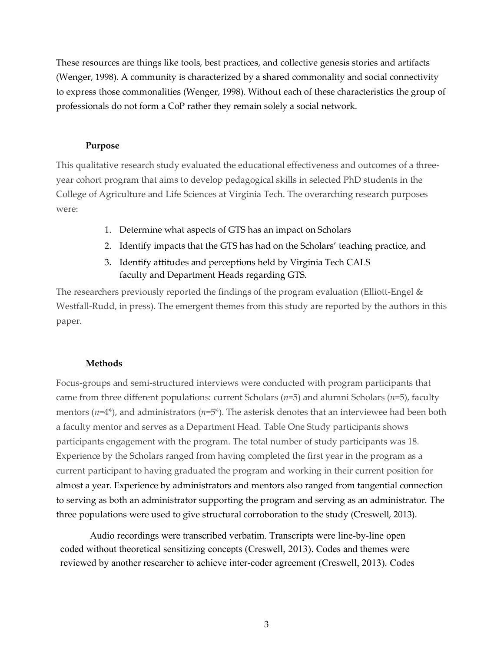These resources are things like tools, best practices, and collective genesis stories and artifacts (Wenger, 1998). A community is characterized by a shared commonality and social connectivity to express those commonalities (Wenger, 1998). Without each of these characteristics the group of professionals do not form a CoP rather they remain solely a social network.

# **Purpose**

This qualitative research study evaluated the educational effectiveness and outcomes of a threeyear cohort program that aims to develop pedagogical skills in selected PhD students in the College of Agriculture and Life Sciences at Virginia Tech. The overarching research purposes were:

- 1. Determine what aspects of GTS has an impact on Scholars
- 2. Identify impacts that the GTS has had on the Scholars' teaching practice, and
- 3. Identify attitudes and perceptions held by Virginia Tech CALS faculty and Department Heads regarding GTS.

The researchers previously reported the findings of the program evaluation (Elliott-Engel  $\&$ Westfall-Rudd, in press). The emergent themes from this study are reported by the authors in this paper.

# **Methods**

Focus-groups and semi-structured interviews were conducted with program participants that came from three different populations: current Scholars (*n*=5) and alumni Scholars (*n*=5), faculty mentors  $(n=4^*)$ , and administrators  $(n=5^*)$ . The asterisk denotes that an interviewee had been both a faculty mentor and serves as a Department Head. Table One Study participants shows participants engagement with the program. The total number of study participants was 18. Experience by the Scholars ranged from having completed the first year in the program as a current participant to having graduated the program and working in their current position for almost a year. Experience by administrators and mentors also ranged from tangential connection to serving as both an administrator supporting the program and serving as an administrator. The three populations were used to give structural corroboration to the study (Creswell, 2013).

Audio recordings were transcribed verbatim. Transcripts were line-by-line open coded without theoretical sensitizing concepts (Creswell, 2013). Codes and themes were reviewed by another researcher to achieve inter-coder agreement (Creswell, 2013). Codes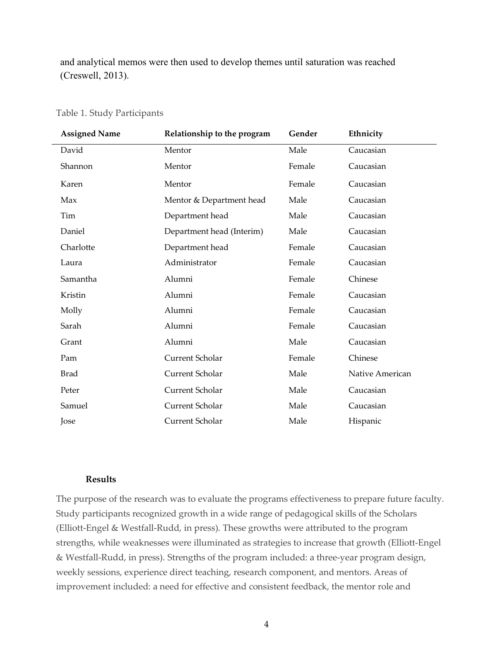and analytical memos were then used to develop themes until saturation was reached (Creswell, 2013).

| <b>Assigned Name</b> | Relationship to the program | Gender | Ethnicity       |
|----------------------|-----------------------------|--------|-----------------|
| David                | Mentor                      | Male   | Caucasian       |
| Shannon              | Mentor                      | Female | Caucasian       |
| Karen                | Mentor                      | Female | Caucasian       |
| Max                  | Mentor & Department head    | Male   | Caucasian       |
| Tim                  | Department head             | Male   | Caucasian       |
| Daniel               | Department head (Interim)   | Male   | Caucasian       |
| Charlotte            | Department head             | Female | Caucasian       |
| Laura                | Administrator               | Female | Caucasian       |
| Samantha             | Alumni                      | Female | Chinese         |
| Kristin              | Alumni                      | Female | Caucasian       |
| Molly                | Alumni                      | Female | Caucasian       |
| Sarah                | Alumni                      | Female | Caucasian       |
| Grant                | Alumni                      | Male   | Caucasian       |
| Pam                  | Current Scholar             | Female | Chinese         |
| <b>Brad</b>          | Current Scholar             | Male   | Native American |
| Peter                | Current Scholar             | Male   | Caucasian       |
| Samuel               | Current Scholar             | Male   | Caucasian       |
| Jose                 | Current Scholar             | Male   | Hispanic        |

## Table 1. Study Participants

# **Results**

The purpose of the research was to evaluate the programs effectiveness to prepare future faculty. Study participants recognized growth in a wide range of pedagogical skills of the Scholars (Elliott-Engel & Westfall-Rudd, in press). These growths were attributed to the program strengths, while weaknesses were illuminated as strategies to increase that growth (Elliott-Engel & Westfall-Rudd, in press). Strengths of the program included: a three-year program design, weekly sessions, experience direct teaching, research component, and mentors. Areas of improvement included: a need for effective and consistent feedback, the mentor role and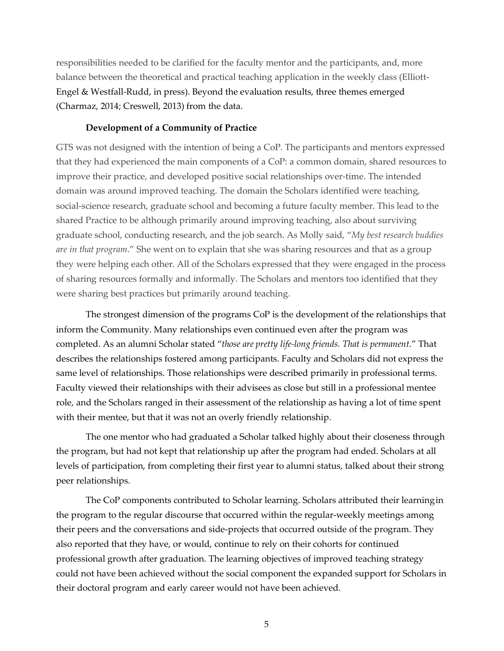responsibilities needed to be clarified for the faculty mentor and the participants, and, more balance between the theoretical and practical teaching application in the weekly class (Elliott-Engel & Westfall-Rudd, in press). Beyond the evaluation results, three themes emerged (Charmaz, 2014; Creswell, 2013) from the data.

## **Development of a Community of Practice**

GTS was not designed with the intention of being a CoP. The participants and mentors expressed that they had experienced the main components of a CoP: a common domain, shared resources to improve their practice, and developed positive social relationships over-time. The intended domain was around improved teaching. The domain the Scholars identified were teaching, social-science research, graduate school and becoming a future faculty member. This lead to the shared Practice to be although primarily around improving teaching, also about surviving graduate school, conducting research, and the job search. As Molly said, "*My best research buddies are in that program*." She went on to explain that she was sharing resources and that as a group they were helping each other. All of the Scholars expressed that they were engaged in the process of sharing resources formally and informally. The Scholars and mentors too identified that they were sharing best practices but primarily around teaching.

The strongest dimension of the programs CoP is the development of the relationships that inform the Community. Many relationships even continued even after the program was completed. As an alumni Scholar stated "*those are pretty life-long friends. That is permanent*." That describes the relationships fostered among participants. Faculty and Scholars did not express the same level of relationships. Those relationships were described primarily in professional terms. Faculty viewed their relationships with their advisees as close but still in a professional mentee role, and the Scholars ranged in their assessment of the relationship as having a lot of time spent with their mentee, but that it was not an overly friendly relationship.

The one mentor who had graduated a Scholar talked highly about their closeness through the program, but had not kept that relationship up after the program had ended. Scholars at all levels of participation, from completing their first year to alumni status, talked about their strong peer relationships.

The CoP components contributed to Scholar learning. Scholars attributed their learningin the program to the regular discourse that occurred within the regular-weekly meetings among their peers and the conversations and side-projects that occurred outside of the program. They also reported that they have, or would, continue to rely on their cohorts for continued professional growth after graduation. The learning objectives of improved teaching strategy could not have been achieved without the social component the expanded support for Scholars in their doctoral program and early career would not have been achieved.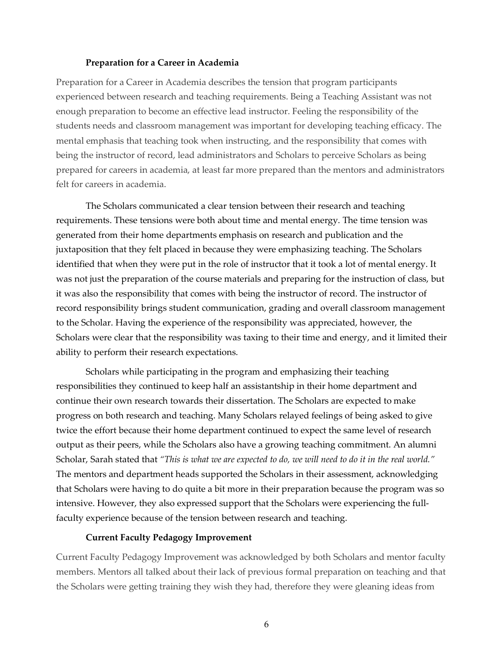#### **Preparation for a Career in Academia**

Preparation for a Career in Academia describes the tension that program participants experienced between research and teaching requirements. Being a Teaching Assistant was not enough preparation to become an effective lead instructor. Feeling the responsibility of the students needs and classroom management was important for developing teaching efficacy. The mental emphasis that teaching took when instructing, and the responsibility that comes with being the instructor of record, lead administrators and Scholars to perceive Scholars as being prepared for careers in academia, at least far more prepared than the mentors and administrators felt for careers in academia.

The Scholars communicated a clear tension between their research and teaching requirements. These tensions were both about time and mental energy. The time tension was generated from their home departments emphasis on research and publication and the juxtaposition that they felt placed in because they were emphasizing teaching. The Scholars identified that when they were put in the role of instructor that it took a lot of mental energy. It was not just the preparation of the course materials and preparing for the instruction of class, but it was also the responsibility that comes with being the instructor of record. The instructor of record responsibility brings student communication, grading and overall classroom management to the Scholar. Having the experience of the responsibility was appreciated, however, the Scholars were clear that the responsibility was taxing to their time and energy, and it limited their ability to perform their research expectations.

Scholars while participating in the program and emphasizing their teaching responsibilities they continued to keep half an assistantship in their home department and continue their own research towards their dissertation. The Scholars are expected to make progress on both research and teaching. Many Scholars relayed feelings of being asked to give twice the effort because their home department continued to expect the same level of research output as their peers, while the Scholars also have a growing teaching commitment. An alumni Scholar, Sarah stated that *"This is what we are expected to do, we will need to do it in the real world."*  The mentors and department heads supported the Scholars in their assessment, acknowledging that Scholars were having to do quite a bit more in their preparation because the program was so intensive. However, they also expressed support that the Scholars were experiencing the fullfaculty experience because of the tension between research and teaching.

## **Current Faculty Pedagogy Improvement**

Current Faculty Pedagogy Improvement was acknowledged by both Scholars and mentor faculty members. Mentors all talked about their lack of previous formal preparation on teaching and that the Scholars were getting training they wish they had, therefore they were gleaning ideas from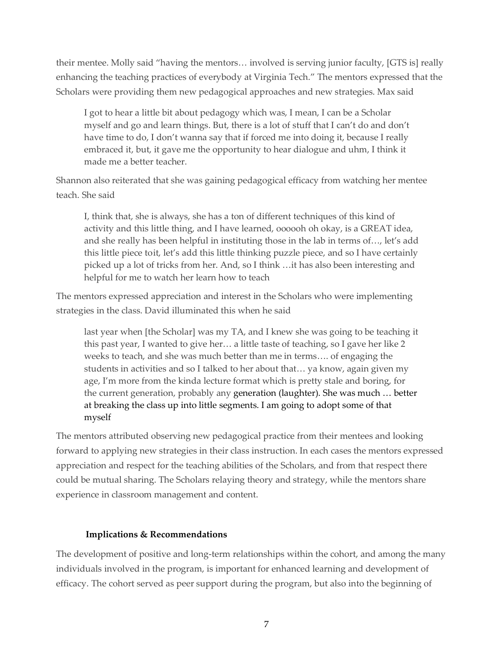their mentee. Molly said "having the mentors… involved is serving junior faculty, [GTS is] really enhancing the teaching practices of everybody at Virginia Tech." The mentors expressed that the Scholars were providing them new pedagogical approaches and new strategies. Max said

I got to hear a little bit about pedagogy which was, I mean, I can be a Scholar myself and go and learn things. But, there is a lot of stuff that I can't do and don't have time to do, I don't wanna say that if forced me into doing it, because I really embraced it, but, it gave me the opportunity to hear dialogue and uhm, I think it made me a better teacher.

Shannon also reiterated that she was gaining pedagogical efficacy from watching her mentee teach. She said

I, think that, she is always, she has a ton of different techniques of this kind of activity and this little thing, and I have learned, oooooh oh okay, is a GREAT idea, and she really has been helpful in instituting those in the lab in terms of…, let's add this little piece toit, let's add this little thinking puzzle piece, and so I have certainly picked up a lot of tricks from her. And, so I think …it has also been interesting and helpful for me to watch her learn how to teach

The mentors expressed appreciation and interest in the Scholars who were implementing strategies in the class. David illuminated this when he said

last year when [the Scholar] was my TA, and I knew she was going to be teaching it this past year, I wanted to give her… a little taste of teaching, so I gave her like 2 weeks to teach, and she was much better than me in terms…. of engaging the students in activities and so I talked to her about that… ya know, again given my age, I'm more from the kinda lecture format which is pretty stale and boring, for the current generation, probably any generation (laughter). She was much … better at breaking the class up into little segments. I am going to adopt some of that myself

The mentors attributed observing new pedagogical practice from their mentees and looking forward to applying new strategies in their class instruction. In each cases the mentors expressed appreciation and respect for the teaching abilities of the Scholars, and from that respect there could be mutual sharing. The Scholars relaying theory and strategy, while the mentors share experience in classroom management and content.

# **Implications & Recommendations**

The development of positive and long-term relationships within the cohort, and among the many individuals involved in the program, is important for enhanced learning and development of efficacy. The cohort served as peer support during the program, but also into the beginning of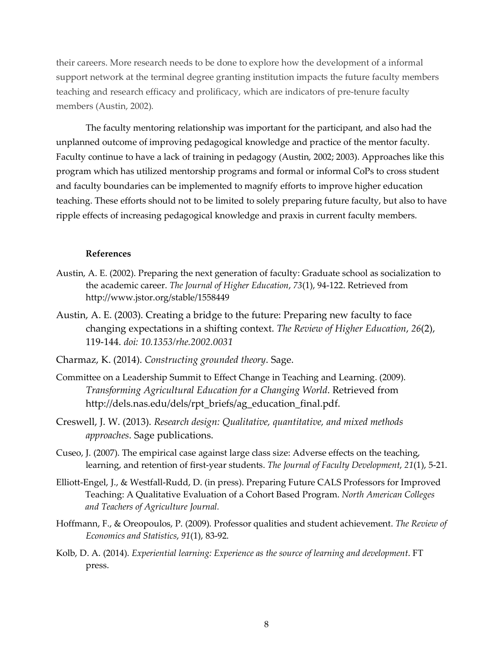their careers. More research needs to be done to explore how the development of a informal support network at the terminal degree granting institution impacts the future faculty members teaching and research efficacy and prolificacy, which are indicators of pre-tenure faculty members (Austin, 2002).

The faculty mentoring relationship was important for the participant, and also had the unplanned outcome of improving pedagogical knowledge and practice of the mentor faculty. Faculty continue to have a lack of training in pedagogy (Austin, 2002; 2003). Approaches like this program which has utilized mentorship programs and formal or informal CoPs to cross student and faculty boundaries can be implemented to magnify efforts to improve higher education teaching. These efforts should not to be limited to solely preparing future faculty, but also to have ripple effects of increasing pedagogical knowledge and praxis in current faculty members.

# **References**

- Austin, A. E. (2002). Preparing the next generation of faculty: Graduate school as socialization to the academic career. *The Journal of Higher Education*, *73*(1), 94-122. Retrieved from http://www.jstor.org/stable/1558449
- Austin, A. E. (2003). Creating a bridge to the future: Preparing new faculty to face changing expectations in a shifting context. *The Review of Higher Education*, *26*(2), 119-144. *doi: 10.1353/rhe.2002.0031*
- Charmaz, K. (2014). *Constructing grounded theory*. Sage.
- Committee on a Leadership Summit to Effect Change in Teaching and Learning. (2009). *Transforming Agricultural Education for a Changing World*. Retrieved from http://dels.nas.edu/dels/rpt\_briefs/ag\_education\_final.pdf.
- Creswell, J. W. (2013). *Research design: Qualitative, quantitative, and mixed methods approaches*. Sage publications.
- Cuseo, J. (2007). The empirical case against large class size: Adverse effects on the teaching, learning, and retention of first-year students. *The Journal of Faculty Development*, *21*(1), 5-21.
- Elliott-Engel, J., & Westfall-Rudd, D. (in press). Preparing Future CALS Professors for Improved Teaching: A Qualitative Evaluation of a Cohort Based Program. *North American Colleges and Teachers of Agriculture Journal.*
- Hoffmann, F., & Oreopoulos, P. (2009). Professor qualities and student achievement. *The Review of Economics and Statistics*, *91*(1), 83-92.
- Kolb, D. A. (2014). *Experiential learning: Experience as the source of learning and development*. FT press.